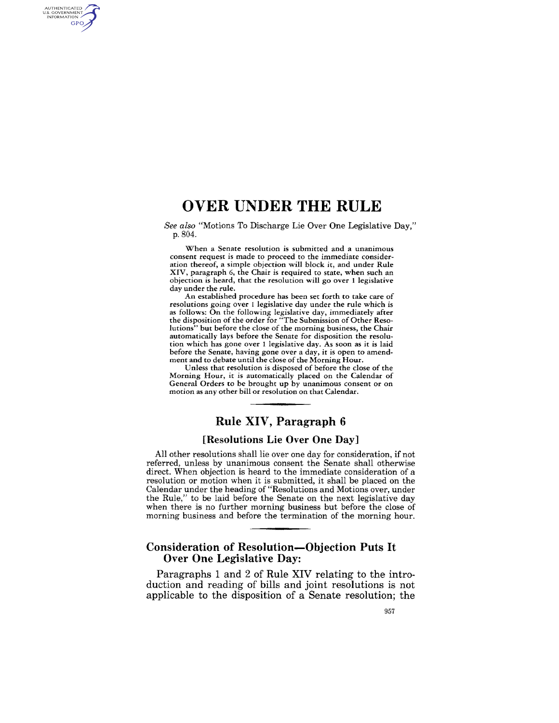# **OVER UNDER THE RULE**

AUTHENTICATED<br>U.S. GOVERNMENT<br>INFORMATION GPO

> *See also* "Motions To Discharge Lie Over One Legislative Day," p.804.

When a Senate resolution is submitted and a unanimous consent request is made to proceed to the immediate consideration thereof, a simple objection will block it, and under Rule XIV, paragraph 6, the Chair is required to state, when such an objection is heard, that the resolution will go over I legislative day under the rule.

An established procedure has been set forth to take care of resolutions going over 1 legislative day under the rule which is as follows: On the following legislative day, immediately after the disposition of the order for "The Submission of Other Resolutions" but before the close of the morning business, the Chair automatically lays before the Senate for disposition the resolution which has gone over 1 legislative day. As soon as it is laid before the Senate, having gone over a day, it is open to amendment and to debate until the close of the Morning Hour.

Unless that resolution is disposed of before the close of the Morning Hour, it is automatically placed on the Calendar of General Orders to be brought up by unanimous consent or on motion as any other bill or resolution on that Calendar.

# **Rule XIV, Paragraph 6**

#### **[Resolutions Lie Over One Day]**

All other resolutions shall lie over one day for consideration, if not referred, unless by unanimous consent the Senate shall otherwise direct. When objection is heard to the immediate consideration of a resolution or motion when it is submitted, it shall be placed on the Calendar under the heading of "Resolutions and Motions over, under the Rule," to be laid before the Senate on the next legislative day when there is no further morning business but before the close of morning business and before the termination of the morning hour.

### **Consideration of Resolution-Objection Puts It Over One Legislative Day:**

Paragraphs 1 and 2 of **Rule XIV** relating to the introduction and reading of bills and joint resolutions is not applicable to the disposition of a Senate resolution; the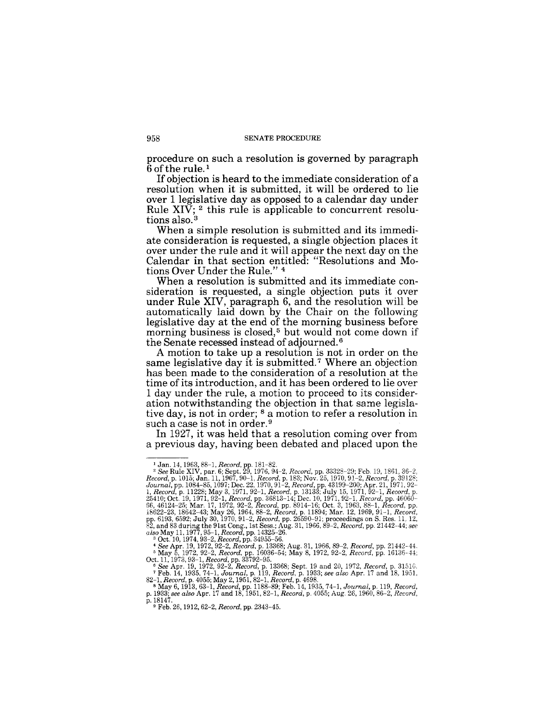procedure on such a resolution is governed by paragraph  $6$  of the rule.<sup>1</sup>

If objection is heard to the immediate consideration of a resolution when it is submitted, it will be ordered to lie over 1 legislative day as opposed to a calendar day under Rule  $XIV$ ; <sup>2</sup> this rule is applicable to concurrent resolutions also. <sup>3</sup>

When a simple resolution is submitted and its immediate consideration is requested, a single objection places it over under the rule and it will appear the next day on the Calendar in that section entitled: "Resolutions and Motions Over Under the Rule." 4

When a resolution is submitted and its immediate consideration is requested, a single objection puts it over under Rule XIV, paragraph 6, and the resolution will be automatically laid down by the Chair on the following legislative day at the end of the morning business before morning business is closed,<sup>5</sup> but would not come down if the Senate recessed instead of adjourned. 6

A motion to take up a resolution is not in order on the same legislative day it is submitted.<sup>7</sup> Where an objection has been made to the consideration of a resolution at the time of its introduction, and it has been ordered to lie over 1 day under the rule, a motion to proceed to its consideration notwithstanding the objection in that same legislative day, is not in order; 8 a motion to refer a resolution in such a case is not in order.<sup>9</sup>

In 1927, it was held that a resolution coming over from a previous day, having been debated and placed upon the

<sup>&</sup>lt;sup>1</sup> Jan. 14, 1963, 88-1, *Record*, pp. 181-82.<br>
<sup>2</sup> See Rule XIV, par. 6; Sept. 29, 1976, 94-2, *Record*, pp. 33328-29; Feb. 19, 1861, 36-2, *Record*, p. 1015; Jan. 11, 1967, 90-1, *Record*, p. 103; Nov. 25, 1970, 91-2,

<sup>4</sup>*See* Apr. 19, 1972, 92-2, *Record,* p. 13368; Aug. 31, 1966, 89-2, *Record,* pp. 21442-44. 5 May 5, 1972, 92-2, *Record,* pp. 16036-54; May 8, 1972, 92-2, *Record,* pp. 16136-4i;

Oct. 11, 1973, 93-1, *Record*, pp. 33792-95.<br>
<sup>6</sup> See Apr. 19, 1972, 92-2, *Record*, p. 13868; Sept. 19 and 20, 1972, *Record*, p. 31510.<br>
<sup>7</sup> Feb. 14, 1935, 74-1, *Journal*, p. 119, *Record*, p. 1933; see also Apr. 17 and

<sup>9</sup> Feb. 26, 1912, 62-2, *Record,* pp. 2343-45.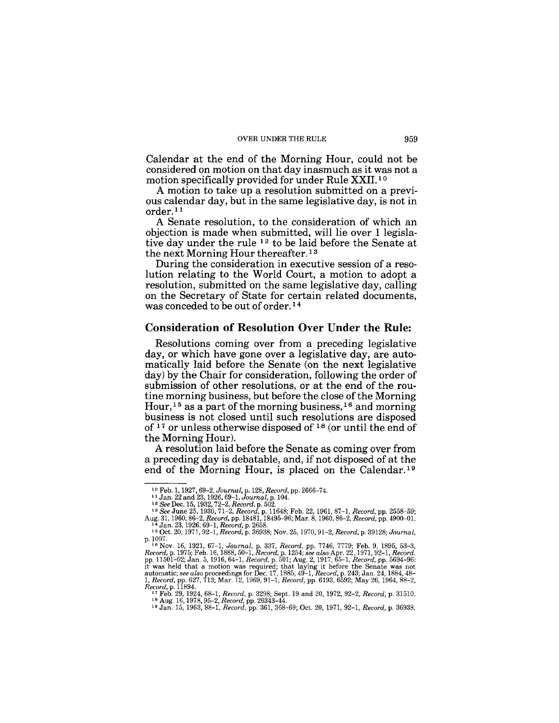Calendar at the end of the Morning Hour, could not be considered on motion on that day inasmuch as it was not a motion specifically provided for under Rule XXII.<sup>10</sup>

A motion to take up a resolution submitted on a previous calendar day, but in the same legislative day, is not in order.<sup>11</sup>

A Senate resolution, to the consideration of which an objection is made when submitted, will lie over 1 legislative day under the rule 12 to be laid before the Senate at the next Morning Hour thereafter. 13

During the consideration in executive session of a resolution relating to the World Court, a motion to adopt a resolution, submitted on the same legislative day, calling on the Secretary of State for certain related documents, was conceded to be out of order. 14

#### **Consideration of Resolution Over Under the Rule:**

Resolutions coming over from a preceding legislative day, or which have gone over a legislative day, are automatically laid before the Senate (on the next legislative day) by the Chair for consideration, following the order of submission of other resolutions, or at the end of the routine morning business, but before the close of the Morning Hour,<sup>15</sup> as a part of the morning business,<sup>16</sup> and morning business is not closed until such resolutions are disposed of 17 or unless otherwise disposed of 18 (or until the end of the Morning Hour).

A resolution laid before the Senate as coming over from a preceding day is debatable, and, if not disposed of at the end of the Morning Hour, is placed on the Calendar.19

<sup>&</sup>lt;sup>10</sup> Feb. 1, 1927, 69*–2, Journal,* p. 128, *Record,* pp. 2666–74.<br><sup>11</sup> Jan. 22 and 23, 1926, 69–1*, Journal,* p. 104.<br><sup>12</sup> *See* Dec. 15, 1932, 72–2, *Record*, p. 502.<br><sup>13</sup> *See* June 25, 1930, 71–2, *Record*, p. 11648; F

<sup>14</sup> Jan. 23, 1926, 69–1, Record, p. 2658.<br><sup>15</sup> Jan. 23, 1926, 69–1, Record, p. 2658.<br><sup>15</sup> Oct. 20, 1971, 92–1, Record, p. 36938; Nov. 25, 1970, 91–2, Record, p. 39128; Journal,

p. 1097.<br>
<sup>18</sup> Nov. 16, 1921, 67-1, Journal, p. 337, Record, pp. 7746, 7779; Feb. 9, 1895, 53-3,<br>
Record, p. 1975; Feb. 16, 1888, 50-1, Record, p. 1254; see also Apr. 22, 1971, 92-1, Record.<br>
pp. 11501-02; Jan. 5, 1916, 64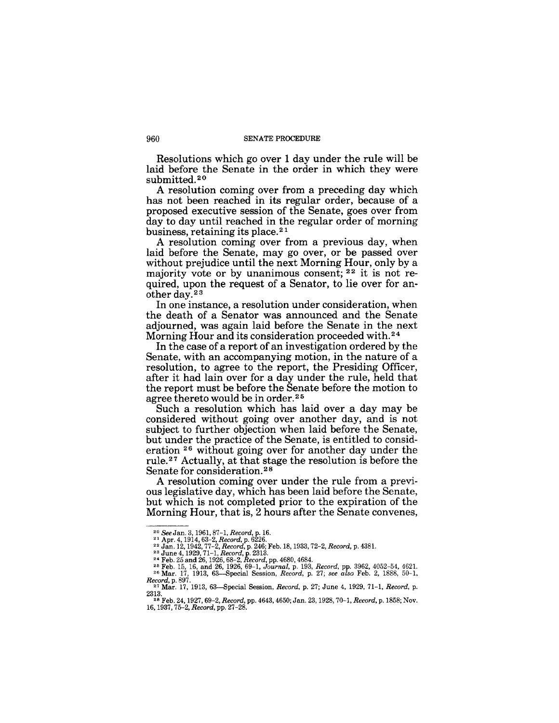#### 960 SENATE PROCEDURE

Resolutions which go over 1 day under the rule will be laid before the Senate in the order in which they were submitted.<sup>20</sup>

A resolution coming over from a preceding day which has not been reached in its regular order, because of a proposed executive session of the Senate, goes over from day to day until reached in the regular order of morning business, retaining its place. <sup>21</sup>

A resolution coming over from a previous day, when laid before the Senate, may go over, or be passed over without prejudice until the next Morning Hour, only by a majority vote or by unanimous consent; 22 it is not required, upon the request of a Senator, to lie over for another day. 2 3

In one instance, a resolution under consideration, when the death of a Senator was announced and the Senate adjourned, was again laid before the Senate in the next Morning Hour and its consideration proceeded with. 24

In the case of a report of an investigation ordered by the Senate, with an accompanying motion, in the nature of a resolution, to agree to the report, the Presiding Officer, after it had lain over for a day under the rule, held that the report must be before the Senate before the motion to agree thereto would be in order.<sup>25</sup>

Such a resolution which has laid over a day may be considered without going over another day, and is not subject to further objection when laid before the Senate, but under the practice of the Senate, is entitled to consideration 26 without going over for another day under the rule. 27 Actually, at that stage the resolution is before the Senate for consideration. <sup>28</sup>

A resolution coming over under the rule from a previous legislative day, which has been laid before the Senate, but which is not completed prior to the expiration of the Morning Hour, that is, 2 hours after the Senate convenes,

<sup>&</sup>lt;sup>20</sup> *See* Jan. 3, 1961, 87–1, *Record*, p. 16.<br><sup>21</sup> Apr. 4, 1914, 63–2, *Record*, p. 6226.<br><sup>22</sup> Jan. 12, 1942, 77–2, *Record*, p. 246; Feb. 18, 1933, 72–2, *Record*, p. 4381.<br><sup>23</sup> June 4, 1929, 71–1, *Record*, p. 2313.

<sup>&</sup>lt;sup>24</sup> Feb. 25 and 26, 1926, 68–2, *Record*, pp. 4680, 4684.<br><sup>25</sup> Feb. 15, 16, and 26, 1926, 69–1, Jou*rnal*, p. 193, *Record*, pp. 3962, 4052–54, 4621.<br><sup>26</sup> Mar. 17, 1913, 63—Special Session, *Record*, p. 27; *see also* Feb

*Record, p.* 897. **27.** 27; June 4, 1929, 71-1, *Record, p.* <sup>27</sup> Mar. 17, 1913, 63-Special Session, *Record, p.* 27; June 4, 1929, 71-1, *Record, p.* 2313.

<sup>28</sup>Feb. 24, 1927, 69-2, *Record,* pp. 4643, 4650; Jan. 23, 1928,70-1, *Record,* p. 1858; Nov. *16,1937,75-2, Record,* pp. 27-28.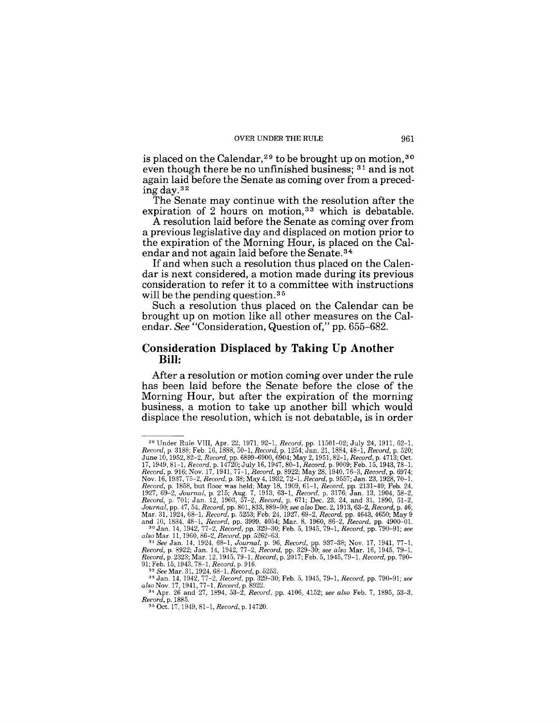**is placed on the Calendar,29 to be brought up on motion,30 even though there be no unfinished business; 31 and is not again laid before the Senate as coming over from a precedingday.32** 

**The Senate may continue with the resolution after the**  expiration of 2 hours on motion,<sup>33</sup> which is debatable.

**A resolution laid before the Senate as coming over from a previous legislative day and displaced on motion prior to the expiration of the Morning Hour, is placed on the Calendar and not again laid before the Senate. 34** 

If and when such a resolution thus placed on the Calen**dar is next considered, a motion made during its previous consideration to refer it to a committee with instructions will be the pending question. 35** 

**Such a resolution thus placed on the Calendar can be brought up on motion like all other measures on the Calendar.** *See* **"Consideration, Question of," pp. 655-682.** 

#### **Consideration Displaced by Taking Up Another Bill:**

**After a resolution or motion coming over under the rule has been laid before the Senate before the close of the Morning Hour, but after the expiration of the morning business, a motion to take up another bill which would displace the resolution, which is not debatable, is in order** 

<sup>29</sup> Under Rule VIII, Apr. 22, 1971, 92-1, *Record,* pp. 11501-02; July 24, 1911, 62-1, *Record,* p. 3188; Feb. 16, 1888, 50-1, *Record,* p. 1254; Jan. 21, 1884, 48-1, *Record,* p. 520; June 10, 1952, 82–2, Record, pp. 6899-6900, 6904; May 2, 1951, 82–1, Record, p. 4713; Oct.<br>17, 1949, 81–1, Record, p. 14720; July 16, 1947, 80–1, Record, p. 9009; Feb. 15, 1943, 78–1,<br>Record, p. 916; Nov. 17, 1941, 77–1, R

*also* Nov. 17, 1941, 77-1, *Record,* p. 8922. 34 Apr. 26 and 27, 1894, 53-2, *Record,* pp. 4106,4152; *see also* Feb. 7, 1895,53-3, *Record,* p. 1885.

*Record, p. 1885.*<br><sup>35</sup> Oct. 17, 1949, 81-1, *Record, p. 14720.*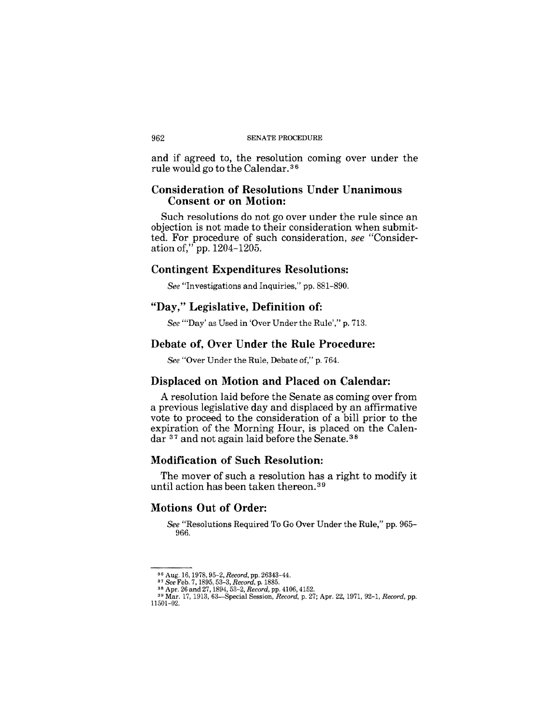#### 962 SENATE PROCEDURE

and if agreed to, the resolution coming over under the rule would go to the Calendar. 3 6

### Consideration of Resolutions Under Unanimous Consent or on Motion:

Such resolutions do not go over under the rule since an objection is not made to their consideration when submitted. For procedure of such consideration, *see* "Consideration of," pp. 1204-1205.

#### Contingent Expenditures Resolutions:

*See* "Investigations and Inquiries," pp. 881-890.

## "Day," Legislative, Definition of:

*See* "'Day' as Used in 'Over Under the Rule'," p. 713.

#### Debate of, Over Under the Rule Procedure:

*See* "Over Under the Rule, Debate of," p. 764.

### Displaced on Motion and Placed on Calendar:

A resolution laid before the Senate as coming over from a previous legislative day and displaced by an affirmative vote to proceed to the consideration of a bill prior to the expiration of the Morning Hour, is placed on the Calendar 37 and not again laid before the Senate. <sup>38</sup>

#### Modification of Such Resolution:

The mover of such a resolution has a right to modify it until action has been taken thereon. 39

### Motions Out of Order:

*See* "Resolutions Required To Go Over Under the Rule," pp. 965- 966.

<sup>&</sup>lt;sup>36</sup> Aug. 16, 1978, 95–2, *Record*, pp. 26343-44.<br><sup>37</sup> See Feb. 7, 1895, 53–3, *Record*, p. 1885.<br><sup>38</sup> Apr. 26 and 27, 1894, 53–2, *Record,* pp. 4106, 4152.<br><sup>39</sup> Mar. 17, 1913, 63—Special Session, *Record*, p. 27; Apr. 22,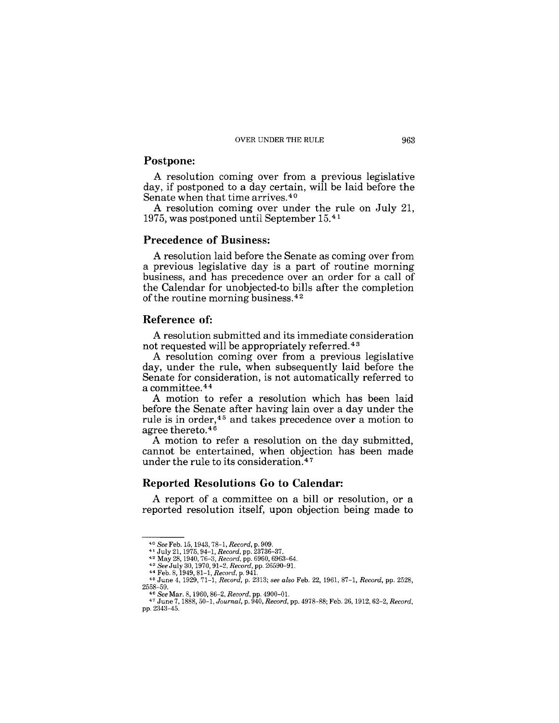### **Postpone:**

A resolution coming over from a previous legislative day, if postponed to a day certain, will be laid before the Senate when that time arrives. 40

A resolution coming over under the rule on July 21, 1975, was postponed until September 15. <sup>41</sup>

### **Precedence of Business:**

A resolution laid before the Senate as coming over from a previous legislative day is a part of routine morning business, and has precedence over an order for a call of the Calendar for unobjected-to bills after the completion of the routine morning business. 42

#### **Reference of:**

A resolution submitted and its immediate consideration not requested will be appropriately referred. 43

A resolution coming over from a previous legislative day, under the rule, when subsequently laid before the Senate for consideration, is not automatically referred to a committee. 44

A motion to refer a resolution which has been laid before the Senate after having lain over a day under the rule is in order,45 and takes precedence over a motion to agree thereto.<sup>46</sup>

A motion to refer a resolution on the day submitted, cannot be entertained, when objection has been made under the rule to its consideration. 47

#### **Reported Resolutions Go to Calendar:**

A report of a committee on a bill or resolution, or a reported resolution itself, upon objection being made to

<sup>40</sup>*See* Feb. 15, 1943, 78-1, *Record,* p. 909.

<sup>&</sup>lt;sup>41</sup> July 21, 1975, 94–1, *Record*, pp. 23736–37.<br><sup>42</sup> May 28, 1940, 76–3, *Record*, pp. 6960, 6963–64.<br><sup>43</sup> *See* July 30, 1970, 91–2, *Record*, pp. 26590–91.<br><sup>44</sup> Feb. 8, 1949, 81–1, *Record*, p. 941.<br><sup>45</sup> June 4, 1929, 2558-59.

*<sup>46</sup> See* Mar. 8,1960,86-2, *Record,* pp. 4900-0l. 47 June 7,1888,50-1, *Journal,* p. 940, *Record,* pp. 4978-88; Feb. 26,1912,62-2, *Record,*  pp. 2343-45.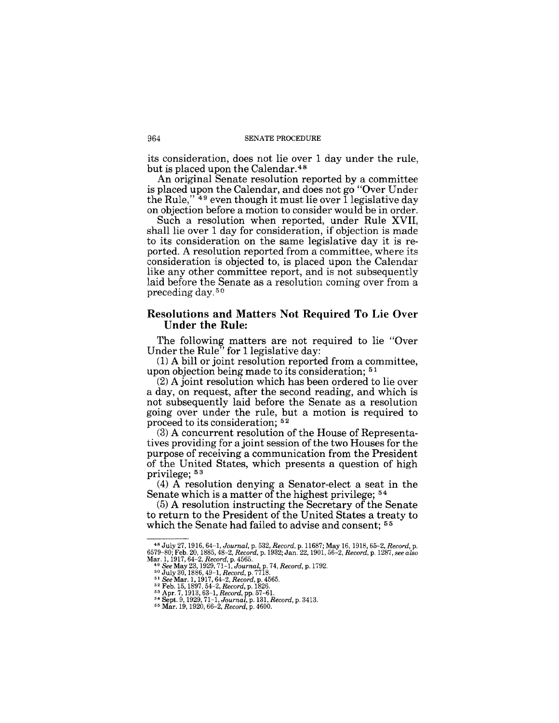its consideration, does not lie over 1 day under the rule, but is placed upon the Calendar.48

An original Senate resolution reported by a committee is placed upon the Calendar, and does not go "Over Under the Rule,"<sup>49</sup> even though it must lie over  $\tilde{1}$  legislative day on objection before a motion to consider would be in order.

Such a resolution when reported, under Rule XVII, shall lie over 1 day for consideration, if objection is made to its consideration on the same legislative day it is reported. A resolution reported from a committee, where its consideration is objected to, is placed upon the Calendar like any other committee report, and is not subsequently laid before the Senate as a resolution coming over from a preceding day. 50

### **Resolutions and Matters Not Required To Lie Over Under the Rule:**

The following matters are not required to lie "Over Under the Rule<sup>7</sup> for 1 legislative day:

(1) A bill or joint resolution reported from a committee, upon objection being made to its consideration; 51

(2) A joint resolution which has been ordered to lie over a day, on request, after the second reading, and which is not subsequently laid before the Senate as a resolution going over under the rule, but a motion is required to proceed to its consideration; 52

(3) A concurrent resolution of the House of Representatives providing for a joint session of the two Houses for the purpose of receiving a communication from the President of the United States, which presents a question of high privilege; 53

(4) A resolution denying a Senator-elect a seat in the Senate which is a matter of the highest privilege;  $54$ 

(5) A resolution instructing the Secretary of the Senate to return to the President of the United States a treaty to which the Senate had failed to advise and consent; <sup>55</sup>

<sup>48</sup> JUly 27,1916,64-1, *Journal,* p. 532, *Record,* p. 11687; May 16,1918,65-2, *Record,* p. 6579-80; Feb. 20, 1885,48-2, *Record,* p. 1932; Jan. 22, 1901, 56-2, *Record,* p. 1287, *see also*  6579–80; Feb. 20, 1885, 48–2, Record, p. 1932; Jan. 22, 1901, 5<br>
Mar. 1, 1917, 64–2, Record, p. 4565.<br>
<sup>49</sup> See May 23, 1929, 71-1, Journal, p. 74, Record, p. 1792.<br>
<sup>49</sup> See May 23, 1929, 71-1, Journal, p. 74, Record, p.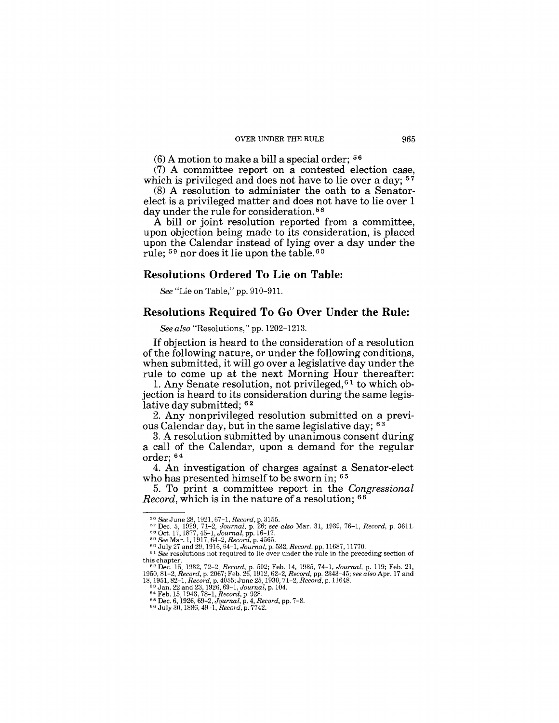#### OVER UNDER THE RULE 965

 $(6)$  A motion to make a bill a special order;  $56$ 

(7) A committee report on a contested election case, which is privileged and does not have to lie over a day; <sup>57</sup>

(8) A resolution to administer the oath to a Senatorelect is a privileged matter and does not have to lie over 1 day under the rule for consideration.<sup>58</sup>

A bill or joint resolution reported from a committee, upon objection being made to its consideration, is placed upon the Calendar instead of lying over a day under the rule; 59 nor does it lie upon the table. 60

#### Resolutions Ordered To Lie on Table:

*See* "Lie on Table," pp. 910-911.

### Resolutions Required To Go Over Under the Rule:

*See also* "Resolutions," pp.1202-1213.

If objection is heard to the consideration of a resolution of the following nature, or under the following conditions, when submitted, it will go over a legislative day under the rule to come up at the next Morning Hour thereafter:

1. Any Senate resolution, not privileged,61 to which objection is heard to its consideration during the same legislative day submitted; <sup>62</sup>

2. Any nonprivileged resolution submitted on a previous Calendar day, but in the same legislative day; 63

3. A resolution submitted by unanimous consent during a call of the Calendar, upon a demand for the regular order: 64

4. An investigation of charges against a Senator-elect who has presented himself to be sworn in; <sup>65</sup>

5. To print a committee report in the *Congressional Record*, which is in the nature of a resolution; <sup>66</sup>

<sup>&</sup>lt;sup>56</sup> See June 28, 1921, 67-1, *Record*, p. 3155.<br><sup>57</sup> Dec. 5, 1929, 71–2, *Journal*, p. 26; *see also* Mar. 31, 1939, 76–1, *Record*, p. 3611.<br><sup>58</sup> Oct. 17, 1877, 45–1, *Journal*, pp. 16–17.<br><sup>58</sup> See Mar. 1, 1917, 64–2, *R* 

<sup>60</sup>JUly 27 and 29,1916,64-1, *Journal,* p. 532, *Record,* pp. 11687, 11770. *61 See* resolutions not required to lie over under the rule in the preceding section of

this chapter.<br>
"2 Dec. 15, 1932, 72-2, Record, p. 502; Feb. 14, 1935, 74-1, Journal, p. 119; Feb. 21,<br>
1950, 81-2, Record, p. 2067; Feb. 26, 1912, 62-2, Record, pp. 2343-45; see also Apr. 17 and<br>
18, 1951, 82-1, Record, p.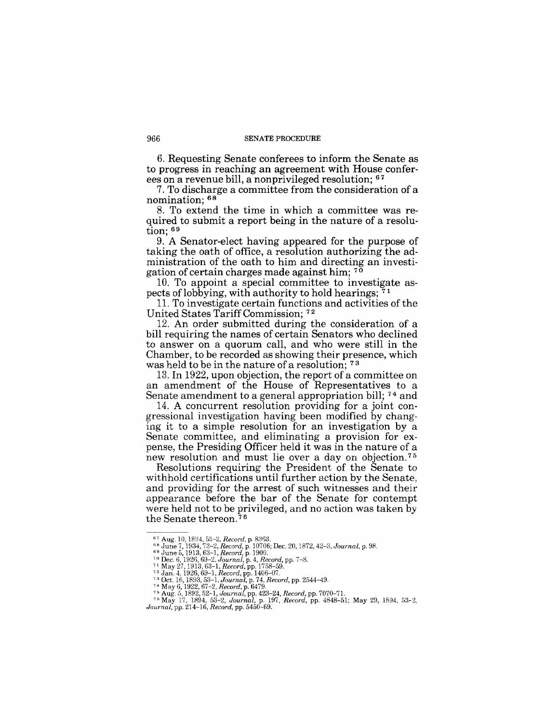#### 966 SENATE PROCEDURE

6. Requesting Senate conferees to inform the Senate as to progress in reaching an agreement with House conferees on a revenue bill, a non privileged resolution;  $67$ 

7. To discharge a committee from the consideration of a nomination; 68

8. To extend the time in which a committee was required to submit a report being in the nature of a resolution;  $69$ 

9. A Senator-elect having appeared for the purpose of taking the oath of office, a resolution authorizing the administration of the oath to him and directing an investigation of certain charges made against him; 70

10. To appoint a special committee to investigate aspects of lobbying, with authority to hold hearings;  $7<sup>1</sup>$ 

11, To investigate certain functions and activities of the United States Tariff Commission; <sup>72</sup>

12. An order submitted during the consideration of a bill requiring the names of certain Senators who declined to answer on a quorum call, and who were still in the Chamber, to be recorded as showing their presence, which was held to be in the nature of a resolution; 73

13. In 1922, upon objection, the report of a committee on an amendment of the House of Representatives to a Senate amendment to a general appropriation bill; 74 and

14. A concurrent resolution providing for a joint congressional investigation having been modified by changing it to a simple resolution for an investigation by a Senate committee, and eliminating a provision for expense, the Presiding Officer held it was in the nature of a new resolution and must lie over a day on objection.<sup>75</sup>

Resolutions requiring the President of the Senate to withhold certifications until further action by the Senate, and providing for the arrest of such witnesses and their appearance before the bar of the Senate for contempt were held not to be privileged, and no action was taken by the Senate thereon. 7 6

<sup>&</sup>lt;sup>67</sup> Aug. 10, 1894, 53–2, *Record*, p. 8363.<br><sup>68</sup> June 7, 1934, 73–2, *Record*, p. 10706; Dec. 20, 1872, 42–3, Journal, p. 98.<br><sup>69</sup> June 5, 1913, 63–1, *Record*, p. 1900.<br><sup>69</sup> June 5, 1913, 63–1, *Record*, p. 4, *Record*,

<sup>&</sup>lt;sup>75</sup> Aug. 5, 1892, 52-1, Journal, pp. 423–24, Record, pp. 7070–71.<br><sup>76</sup> May 17, 1894, 53–2, Journal, p. 197, Record, pp. 4848–51; May 29, 1894, 53–2,<br>Journal, pp. 214–16, Record, pp. 5450–69.